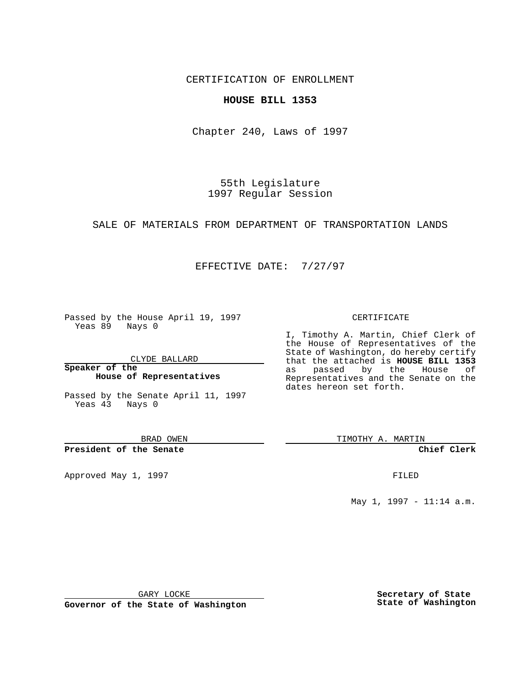CERTIFICATION OF ENROLLMENT

### **HOUSE BILL 1353**

Chapter 240, Laws of 1997

55th Legislature 1997 Regular Session

#### SALE OF MATERIALS FROM DEPARTMENT OF TRANSPORTATION LANDS

## EFFECTIVE DATE: 7/27/97

Passed by the House April 19, 1997 Yeas 89 Nays 0

CLYDE BALLARD

**Speaker of the House of Representatives**

Passed by the Senate April 11, 1997 Yeas 43 Nays 0

BRAD OWEN

**President of the Senate**

Approved May 1, 1997 **FILED** 

#### CERTIFICATE

I, Timothy A. Martin, Chief Clerk of the House of Representatives of the State of Washington, do hereby certify that the attached is **HOUSE BILL 1353** as passed by the House of Representatives and the Senate on the dates hereon set forth.

TIMOTHY A. MARTIN

**Chief Clerk**

May 1, 1997 - 11:14 a.m.

GARY LOCKE

**Governor of the State of Washington**

**Secretary of State State of Washington**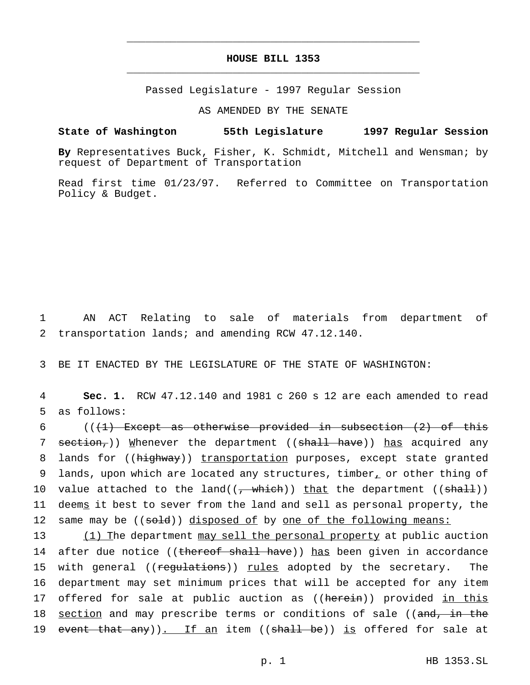# **HOUSE BILL 1353** \_\_\_\_\_\_\_\_\_\_\_\_\_\_\_\_\_\_\_\_\_\_\_\_\_\_\_\_\_\_\_\_\_\_\_\_\_\_\_\_\_\_\_\_\_\_\_

\_\_\_\_\_\_\_\_\_\_\_\_\_\_\_\_\_\_\_\_\_\_\_\_\_\_\_\_\_\_\_\_\_\_\_\_\_\_\_\_\_\_\_\_\_\_\_

Passed Legislature - 1997 Regular Session

AS AMENDED BY THE SENATE

**State of Washington 55th Legislature 1997 Regular Session**

**By** Representatives Buck, Fisher, K. Schmidt, Mitchell and Wensman; by request of Department of Transportation

Read first time 01/23/97. Referred to Committee on Transportation Policy & Budget.

1 AN ACT Relating to sale of materials from department of 2 transportation lands; and amending RCW 47.12.140.

3 BE IT ENACTED BY THE LEGISLATURE OF THE STATE OF WASHINGTON:

4 **Sec. 1.** RCW 47.12.140 and 1981 c 260 s 12 are each amended to read 5 as follows:

6 ( $($ ( $\{$ +) Except as otherwise provided in subsection  $(2)$  of this 7 section,)) Whenever the department ((shall have)) has acquired any 8 lands for ((highway)) transportation purposes, except state granted 9 lands, upon which are located any structures, timber, or other thing of 10 value attached to the land( $(\frac{1}{2}$  which)) that the department ( $(\frac{\text{shall}}{\text{shall}})$ ) 11 deems it best to sever from the land and sell as personal property, the 12 same may be ((sold)) disposed of by one of the following means:

13 (1) The department may sell the personal property at public auction 14 after due notice ((thereof shall have)) has been given in accordance 15 with general ((regulations)) rules adopted by the secretary. The 16 department may set minimum prices that will be accepted for any item 17 offered for sale at public auction as ((herein)) provided in this 18 section and may prescribe terms or conditions of sale ((and, in the 19 event that any)). If an item ((shall be)) is offered for sale at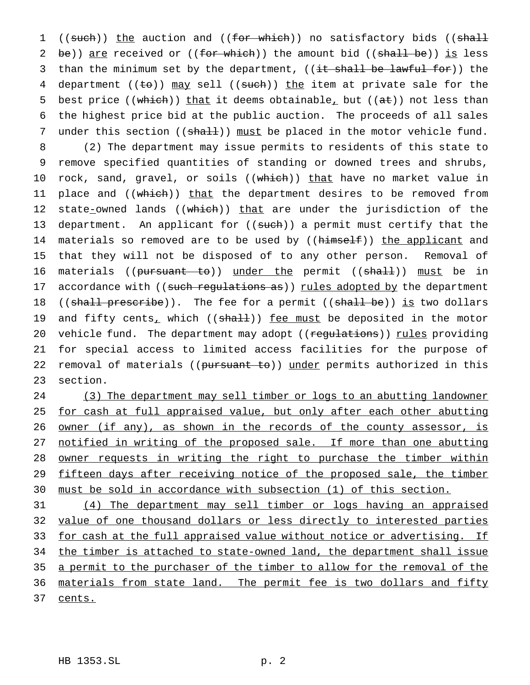1 ((such)) the auction and ((for which)) no satisfactory bids ((shall 2 be)) are received or  $((for which))$  the amount bid  $((shall be))$  is less 3 than the minimum set by the department, ((it shall be lawful for)) the 4 department (( $\pm$ o)) may sell (( $\text{such}$ ))  $\pm$ he item at private sale for the 5 best price ((which)) that it deems obtainable, but ( $(a\pm)$ ) not less than 6 the highest price bid at the public auction. The proceeds of all sales 7 under this section ((shall)) must be placed in the motor vehicle fund.

8 (2) The department may issue permits to residents of this state to 9 remove specified quantities of standing or downed trees and shrubs, 10 rock, sand, gravel, or soils ((which)) that have no market value in 11 place and ((which)) that the department desires to be removed from 12 state-owned lands ((which)) that are under the jurisdiction of the 13 department. An applicant for ((such)) a permit must certify that the 14 materials so removed are to be used by ((himself)) the applicant and 15 that they will not be disposed of to any other person. Removal of 16 materials ((pursuant to)) under the permit ((shall)) must be in 17 accordance with ((such regulations as)) rules adopted by the department 18 ((shall prescribe)). The fee for a permit ((shall be)) is two dollars 19 and fifty cents<sub>1</sub> which (( $shall$ )) <u>fee must</u> be deposited in the motor 20 vehicle fund. The department may adopt ((regulations)) rules providing 21 for special access to limited access facilities for the purpose of 22 removal of materials ((pursuant to)) under permits authorized in this 23 section.

24 (3) The department may sell timber or logs to an abutting landowner 25 for cash at full appraised value, but only after each other abutting 26 owner (if any), as shown in the records of the county assessor, is 27 notified in writing of the proposed sale. If more than one abutting 28 owner requests in writing the right to purchase the timber within 29 fifteen days after receiving notice of the proposed sale, the timber 30 must be sold in accordance with subsection (1) of this section.

31 (4) The department may sell timber or logs having an appraised 32 value of one thousand dollars or less directly to interested parties 33 for cash at the full appraised value without notice or advertising. If 34 the timber is attached to state-owned land, the department shall issue 35 a permit to the purchaser of the timber to allow for the removal of the 36 materials from state land. The permit fee is two dollars and fifty 37 cents.